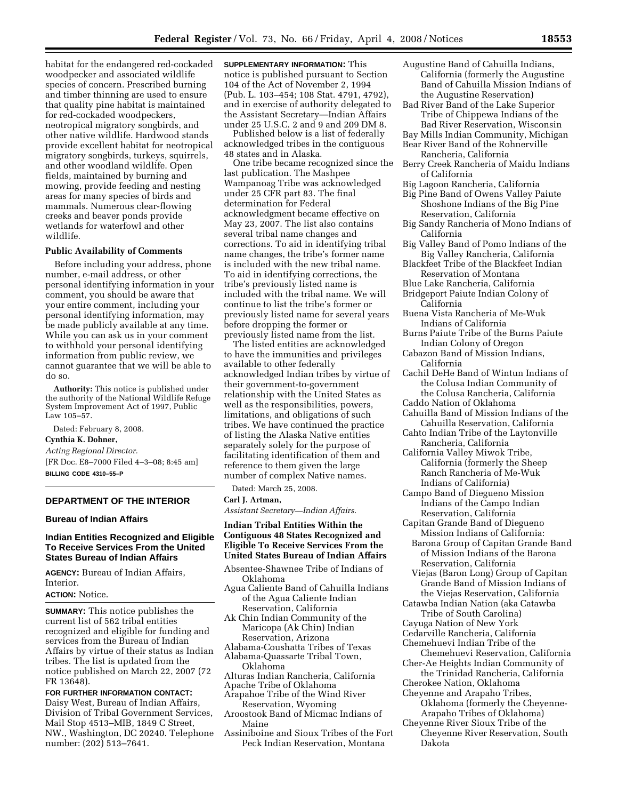habitat for the endangered red-cockaded woodpecker and associated wildlife species of concern. Prescribed burning and timber thinning are used to ensure that quality pine habitat is maintained for red-cockaded woodpeckers, neotropical migratory songbirds, and other native wildlife. Hardwood stands provide excellent habitat for neotropical migratory songbirds, turkeys, squirrels, and other woodland wildlife. Open fields, maintained by burning and mowing, provide feeding and nesting areas for many species of birds and mammals. Numerous clear-flowing creeks and beaver ponds provide wetlands for waterfowl and other wildlife.

# **Public Availability of Comments**

Before including your address, phone number, e-mail address, or other personal identifying information in your comment, you should be aware that your entire comment, including your personal identifying information, may be made publicly available at any time. While you can ask us in your comment to withhold your personal identifying information from public review, we cannot guarantee that we will be able to do so.

**Authority:** This notice is published under the authority of the National Wildlife Refuge System Improvement Act of 1997, Public Law 105–57.

Dated: February 8, 2008. **Cynthia K. Dohner,**  *Acting Regional Director.*  [FR Doc. E8–7000 Filed 4–3–08; 8:45 am]

**BILLING CODE 4310–55–P** 

#### **DEPARTMENT OF THE INTERIOR**

### **Bureau of Indian Affairs**

### **Indian Entities Recognized and Eligible To Receive Services From the United States Bureau of Indian Affairs**

**AGENCY:** Bureau of Indian Affairs, Interior.

### **ACTION:** Notice.

**SUMMARY:** This notice publishes the current list of 562 tribal entities recognized and eligible for funding and services from the Bureau of Indian Affairs by virtue of their status as Indian tribes. The list is updated from the notice published on March 22, 2007 (72 FR 13648).

**FOR FURTHER INFORMATION CONTACT:**  Daisy West, Bureau of Indian Affairs, Division of Tribal Government Services, Mail Stop 4513–MIB, 1849 C Street, NW., Washington, DC 20240. Telephone number: (202) 513–7641.

**SUPPLEMENTARY INFORMATION:** This notice is published pursuant to Section 104 of the Act of November 2, 1994 (Pub. L. 103–454; 108 Stat. 4791, 4792), and in exercise of authority delegated to the Assistant Secretary—Indian Affairs under 25 U.S.C. 2 and 9 and 209 DM 8.

Published below is a list of federally acknowledged tribes in the contiguous 48 states and in Alaska.

One tribe became recognized since the last publication. The Mashpee Wampanoag Tribe was acknowledged under 25 CFR part 83. The final determination for Federal acknowledgment became effective on May 23, 2007. The list also contains several tribal name changes and corrections. To aid in identifying tribal name changes, the tribe's former name is included with the new tribal name. To aid in identifying corrections, the tribe's previously listed name is included with the tribal name. We will continue to list the tribe's former or previously listed name for several years before dropping the former or previously listed name from the list.

The listed entities are acknowledged to have the immunities and privileges available to other federally acknowledged Indian tribes by virtue of their government-to-government relationship with the United States as well as the responsibilities, powers, limitations, and obligations of such tribes. We have continued the practice of listing the Alaska Native entities separately solely for the purpose of facilitating identification of them and reference to them given the large number of complex Native names.

Dated: March 25, 2008.

**Carl J. Artman,** 

*Assistant Secretary—Indian Affairs.* 

## **Indian Tribal Entities Within the Contiguous 48 States Recognized and Eligible To Receive Services From the United States Bureau of Indian Affairs**

- Absentee-Shawnee Tribe of Indians of Oklahoma
- Agua Caliente Band of Cahuilla Indians of the Agua Caliente Indian Reservation, California
- Ak Chin Indian Community of the Maricopa (Ak Chin) Indian Reservation, Arizona
- Alabama-Coushatta Tribes of Texas Alabama-Quassarte Tribal Town,
- Oklahoma
- Alturas Indian Rancheria, California Apache Tribe of Oklahoma
- Arapahoe Tribe of the Wind River
- Reservation, Wyoming Aroostook Band of Micmac Indians of
- Maine
- Assiniboine and Sioux Tribes of the Fort Peck Indian Reservation, Montana
- Augustine Band of Cahuilla Indians, California (formerly the Augustine Band of Cahuilla Mission Indians of the Augustine Reservation)
- Bad River Band of the Lake Superior Tribe of Chippewa Indians of the Bad River Reservation, Wisconsin
- Bay Mills Indian Community, Michigan Bear River Band of the Rohnerville
- Rancheria, California Berry Creek Rancheria of Maidu Indians of California
- Big Lagoon Rancheria, California
- Big Pine Band of Owens Valley Paiute Shoshone Indians of the Big Pine Reservation, California
- Big Sandy Rancheria of Mono Indians of California
- Big Valley Band of Pomo Indians of the Big Valley Rancheria, California
- Blackfeet Tribe of the Blackfeet Indian Reservation of Montana
- Blue Lake Rancheria, California
- Bridgeport Paiute Indian Colony of
- California
- Buena Vista Rancheria of Me-Wuk Indians of California
- Burns Paiute Tribe of the Burns Paiute Indian Colony of Oregon
- Cabazon Band of Mission Indians, California
- Cachil DeHe Band of Wintun Indians of the Colusa Indian Community of the Colusa Rancheria, California
- Caddo Nation of Oklahoma
- Cahuilla Band of Mission Indians of the Cahuilla Reservation, California
- Cahto Indian Tribe of the Laytonville Rancheria, California
- California Valley Miwok Tribe, California (formerly the Sheep Ranch Rancheria of Me-Wuk Indians of California)
- Campo Band of Diegueno Mission Indians of the Campo Indian Reservation, California
- Capitan Grande Band of Diegueno Mission Indians of California: Barona Group of Capitan Grande Band of Mission Indians of the Barona
- Reservation, California Viejas (Baron Long) Group of Capitan Grande Band of Mission Indians of the Viejas Reservation, California
- Catawba Indian Nation (aka Catawba Tribe of South Carolina)
- Cayuga Nation of New York
- Cedarville Rancheria, California Chemehuevi Indian Tribe of the
- Chemehuevi Reservation, California Cher-Ae Heights Indian Community of
- the Trinidad Rancheria, California Cherokee Nation, Oklahoma
- Cheyenne and Arapaho Tribes, Oklahoma (formerly the Cheyenne-
- Arapaho Tribes of Oklahoma) Cheyenne River Sioux Tribe of the Cheyenne River Reservation, South Dakota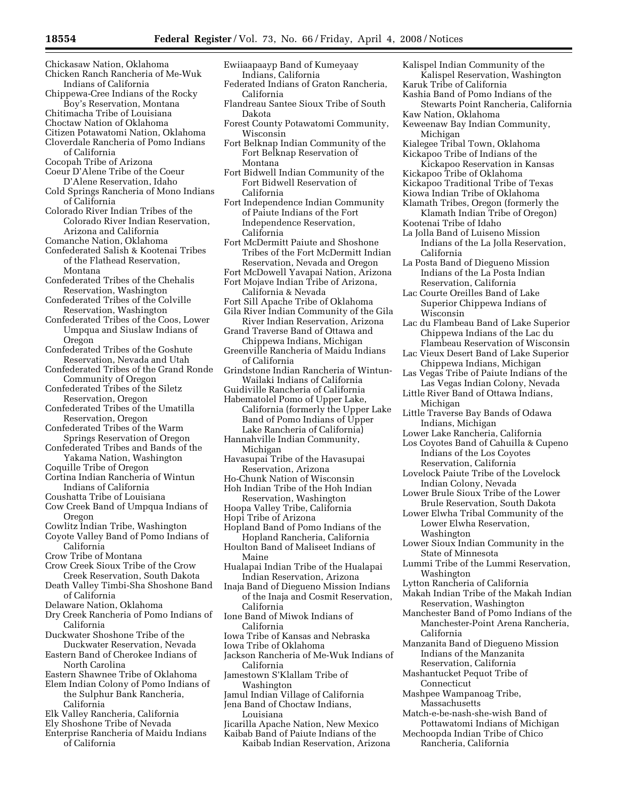- Chickasaw Nation, Oklahoma Chicken Ranch Rancheria of Me-Wuk
- Indians of California Chippewa-Cree Indians of the Rocky Boy's Reservation, Montana
- Chitimacha Tribe of Louisiana
- Choctaw Nation of Oklahoma
- Citizen Potawatomi Nation, Oklahoma Cloverdale Rancheria of Pomo Indians of California
- Cocopah Tribe of Arizona
- Coeur D'Alene Tribe of the Coeur D'Alene Reservation, Idaho
- Cold Springs Rancheria of Mono Indians of California
- Colorado River Indian Tribes of the Colorado River Indian Reservation, Arizona and California
- Comanche Nation, Oklahoma
- Confederated Salish & Kootenai Tribes of the Flathead Reservation, Montana
- Confederated Tribes of the Chehalis Reservation, Washington
- Confederated Tribes of the Colville Reservation, Washington
- Confederated Tribes of the Coos, Lower Umpqua and Siuslaw Indians of Oregon
- Confederated Tribes of the Goshute Reservation, Nevada and Utah
- Confederated Tribes of the Grand Ronde Community of Oregon
- Confederated Tribes of the Siletz Reservation, Oregon
- Confederated Tribes of the Umatilla Reservation, Oregon
- Confederated Tribes of the Warm Springs Reservation of Oregon
- Confederated Tribes and Bands of the Yakama Nation, Washington
- Coquille Tribe of Oregon
- Cortina Indian Rancheria of Wintun Indians of California
- Coushatta Tribe of Louisiana
- Cow Creek Band of Umpqua Indians of Oregon

Cowlitz Indian Tribe, Washington

- Coyote Valley Band of Pomo Indians of California
- Crow Tribe of Montana
- Crow Creek Sioux Tribe of the Crow Creek Reservation, South Dakota
- Death Valley Timbi-Sha Shoshone Band of California
- Delaware Nation, Oklahoma
- Dry Creek Rancheria of Pomo Indians of California
- Duckwater Shoshone Tribe of the Duckwater Reservation, Nevada
- Eastern Band of Cherokee Indians of North Carolina
- Eastern Shawnee Tribe of Oklahoma
- Elem Indian Colony of Pomo Indians of the Sulphur Bank Rancheria, California
- Elk Valley Rancheria, California
- Ely Shoshone Tribe of Nevada
- Enterprise Rancheria of Maidu Indians of California
- Ewiiaapaayp Band of Kumeyaay Indians, California
- Federated Indians of Graton Rancheria, California
- Flandreau Santee Sioux Tribe of South Dakota
- Forest County Potawatomi Community, Wisconsin
- Fort Belknap Indian Community of the Fort Belknap Reservation of Montana
- Fort Bidwell Indian Community of the Fort Bidwell Reservation of California
- Fort Independence Indian Community of Paiute Indians of the Fort Independence Reservation, California
- Fort McDermitt Paiute and Shoshone Tribes of the Fort McDermitt Indian Reservation, Nevada and Oregon
- Fort McDowell Yavapai Nation, Arizona Fort Mojave Indian Tribe of Arizona,
- California & Nevada
- Fort Sill Apache Tribe of Oklahoma
- Gila River Indian Community of the Gila River Indian Reservation, Arizona
- Grand Traverse Band of Ottawa and Chippewa Indians, Michigan
- Greenville Rancheria of Maidu Indians of California
- Grindstone Indian Rancheria of Wintun-Wailaki Indians of California
- Guidiville Rancheria of California
- Habematolel Pomo of Upper Lake, California (formerly the Upper Lake Band of Pomo Indians of Upper Lake Rancheria of California)
- Hannahville Indian Community, Michigan
- Havasupai Tribe of the Havasupai Reservation, Arizona
- Ho-Chunk Nation of Wisconsin Hoh Indian Tribe of the Hoh Indian
- Reservation, Washington
- Hoopa Valley Tribe, California
- Hopi Tribe of Arizona
- Hopland Band of Pomo Indians of the Hopland Rancheria, California
- Houlton Band of Maliseet Indians of Maine
- Hualapai Indian Tribe of the Hualapai Indian Reservation, Arizona
- Inaja Band of Diegueno Mission Indians of the Inaja and Cosmit Reservation, California
- Ione Band of Miwok Indians of California
- Iowa Tribe of Kansas and Nebraska
- Iowa Tribe of Oklahoma
- Jackson Rancheria of Me-Wuk Indians of California
- Jamestown S'Klallam Tribe of Washington
- Jamul Indian Village of California Jena Band of Choctaw Indians,
- Louisiana
- Jicarilla Apache Nation, New Mexico
- Kaibab Band of Paiute Indians of the Kaibab Indian Reservation, Arizona
- Kalispel Indian Community of the Kalispel Reservation, Washington Karuk Tribe of California
- Kashia Band of Pomo Indians of the
- Stewarts Point Rancheria, California Kaw Nation, Oklahoma
- Keweenaw Bay Indian Community, Michigan
- Kialegee Tribal Town, Oklahoma Kickapoo Tribe of Indians of the
- Kickapoo Reservation in Kansas
- Kickapoo Tribe of Oklahoma
- Kickapoo Traditional Tribe of Texas
- Kiowa Indian Tribe of Oklahoma
- Klamath Tribes, Oregon (formerly the Klamath Indian Tribe of Oregon)
- Kootenai Tribe of Idaho
- La Jolla Band of Luiseno Mission Indians of the La Jolla Reservation, California
- La Posta Band of Diegueno Mission Indians of the La Posta Indian Reservation, California
- Lac Courte Oreilles Band of Lake Superior Chippewa Indians of Wisconsin
- Lac du Flambeau Band of Lake Superior Chippewa Indians of the Lac du Flambeau Reservation of Wisconsin
- Lac Vieux Desert Band of Lake Superior Chippewa Indians, Michigan
- Las Vegas Tribe of Paiute Indians of the Las Vegas Indian Colony, Nevada
- Little River Band of Ottawa Indians, Michigan
- Little Traverse Bay Bands of Odawa Indians, Michigan
- Lower Lake Rancheria, California
- Los Coyotes Band of Cahuilla & Cupeno Indians of the Los Coyotes Reservation, California
- Lovelock Paiute Tribe of the Lovelock Indian Colony, Nevada
- Lower Brule Sioux Tribe of the Lower Brule Reservation, South Dakota
- Lower Elwha Tribal Community of the Lower Elwha Reservation, Washington
- Lower Sioux Indian Community in the State of Minnesota Lummi Tribe of the Lummi Reservation,

Makah Indian Tribe of the Makah Indian Reservation, Washington Manchester Band of Pomo Indians of the Manchester-Point Arena Rancheria,

Manzanita Band of Diegueno Mission Indians of the Manzanita Reservation, California Mashantucket Pequot Tribe of

Match-e-be-nash-she-wish Band of Pottawatomi Indians of Michigan Mechoopda Indian Tribe of Chico Rancheria, California

Washington

California

Connecticut Mashpee Wampanoag Tribe, Massachusetts

Lytton Rancheria of California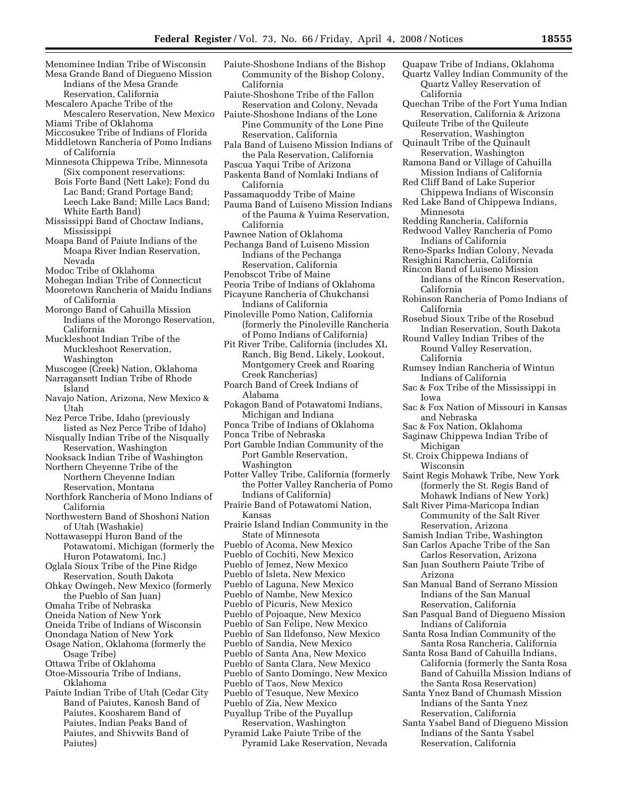- Menominee Indian Tribe of Wisconsin Mesa Grande Band of Diegueno Mission Indians of the Mesa Grande
- Reservation, California Mescalero Apache Tribe of the
- Mescalero Reservation, New Mexico Miami Tribe of Oklahoma
- Miccosukee Tribe of Indians of Florida
- Middletown Rancheria of Pomo Indians of California
- Minnesota Chippewa Tribe, Minnesota (Six component reservations: Bois Forte Band (Nett Lake); Fond du
- Lac Band; Grand Portage Band; Leech Lake Band; Mille Lacs Band; White Earth Band)
- Mississippi Band of Choctaw Indians, Mississippi
- Moapa Band of Paiute Indians of the Moapa River Indian Reservation, Nevada
- Modoc Tribe of Oklahoma
- Mohegan Indian Tribe of Connecticut Mooretown Rancheria of Maidu Indians of California
- Morongo Band of Cahuilla Mission Indians of the Morongo Reservation, California
- Muckleshoot Indian Tribe of the Muckleshoot Reservation, Washington
- Muscogee (Creek) Nation, Oklahoma
- Narragansett Indian Tribe of Rhode Island
- Navajo Nation, Arizona, New Mexico & Utah
- Nez Perce Tribe, Idaho (previously listed as Nez Perce Tribe of Idaho)
- Nisqually Indian Tribe of the Nisqually Reservation, Washington
- Nooksack Indian Tribe of Washington Northern Cheyenne Tribe of the
- Northern Cheyenne Indian Reservation, Montana
- Northfork Rancheria of Mono Indians of California
- Northwestern Band of Shoshoni Nation of Utah (Washakie)
- Nottawaseppi Huron Band of the Potawatomi, Michigan (formerly the Huron Potawatomi, Inc.)
- Oglala Sioux Tribe of the Pine Ridge Reservation, South Dakota
- Ohkay Owingeh, New Mexico (formerly the Pueblo of San Juan)
- Omaha Tribe of Nebraska
- Oneida Nation of New York
- Oneida Tribe of Indians of Wisconsin
- Onondaga Nation of New York
- Osage Nation, Oklahoma (formerly the Osage Tribe)
- Ottawa Tribe of Oklahoma
- Otoe-Missouria Tribe of Indians, Oklahoma
- Paiute Indian Tribe of Utah (Cedar City Band of Paiutes, Kanosh Band of Paiutes, Koosharem Band of Paiutes, Indian Peaks Band of Paiutes, and Shivwits Band of Paiutes)
- Paiute-Shoshone Indians of the Bishop Community of the Bishop Colony, California
- Paiute-Shoshone Tribe of the Fallon Reservation and Colony, Nevada
- Paiute-Shoshone Indians of the Lone Pine Community of the Lone Pine Reservation, California
- Pala Band of Luiseno Mission Indians of the Pala Reservation, California
- Pascua Yaqui Tribe of Arizona
- Paskenta Band of Nomlaki Indians of California
- Passamaquoddy Tribe of Maine Pauma Band of Luiseno Mission Indians of the Pauma & Yuima Reservation,
- California
- Pawnee Nation of Oklahoma
- Pechanga Band of Luiseno Mission Indians of the Pechanga Reservation, California Penobscot Tribe of Maine
- Peoria Tribe of Indians of Oklahoma
- Picayune Rancheria of Chukchansi
- Indians of California
- Pinoleville Pomo Nation, California (formerly the Pinoleville Rancheria of Pomo Indians of California)
- Pit River Tribe, California (includes XL Ranch, Big Bend, Likely, Lookout, Montgomery Creek and Roaring Creek Rancherias)
- Poarch Band of Creek Indians of Alabama
- Pokagon Band of Potawatomi Indians, Michigan and Indiana
- Ponca Tribe of Indians of Oklahoma
- Ponca Tribe of Nebraska
- Port Gamble Indian Community of the Port Gamble Reservation, Washington
- Potter Valley Tribe, California (formerly the Potter Valley Rancheria of Pomo Indians of California)
- Prairie Band of Potawatomi Nation, Kansas
- Prairie Island Indian Community in the State of Minnesota Pueblo of Acoma, New Mexico
- Pueblo of Cochiti, New Mexico
- Pueblo of Jemez, New Mexico
- Pueblo of Isleta, New Mexico
- Pueblo of Laguna, New Mexico Pueblo of Nambe, New Mexico
- Pueblo of Picuris, New Mexico
- Pueblo of Pojoaque, New Mexico
- Pueblo of San Felipe, New Mexico
- Pueblo of San Ildefonso, New Mexico
- Pueblo of Sandia, New Mexico
- Pueblo of Santa Ana, New Mexico
- Pueblo of Santa Clara, New Mexico
- Pueblo of Santo Domingo, New Mexico
- Pueblo of Taos, New Mexico
- Pueblo of Tesuque, New Mexico
- Pueblo of Zia, New Mexico
- Puyallup Tribe of the Puyallup Reservation, Washington Pyramid Lake Paiute Tribe of the
- Pyramid Lake Reservation, Nevada
- Quapaw Tribe of Indians, Oklahoma Quartz Valley Indian Community of the Quartz Valley Reservation of California
- Quechan Tribe of the Fort Yuma Indian Reservation, California & Arizona
- Quileute Tribe of the Quileute Reservation, Washington
- Quinault Tribe of the Quinault
- Reservation, Washington Ramona Band or Village of Cahuilla Mission Indians of California
- Red Cliff Band of Lake Superior Chippewa Indians of Wisconsin
- Red Lake Band of Chippewa Indians, Minnesota
- Redding Rancheria, California
- Redwood Valley Rancheria of Pomo Indians of California
- Reno-Sparks Indian Colony, Nevada
- Resighini Rancheria, California
- Rincon Band of Luiseno Mission Indians of the Rincon Reservation, California
- Robinson Rancheria of Pomo Indians of California
- Rosebud Sioux Tribe of the Rosebud Indian Reservation, South Dakota
- Round Valley Indian Tribes of the Round Valley Reservation, California
- Rumsey Indian Rancheria of Wintun Indians of California
- Sac & Fox Tribe of the Mississippi in Iowa
- Sac & Fox Nation of Missouri in Kansas and Nebraska
- Sac & Fox Nation, Oklahoma
- Saginaw Chippewa Indian Tribe of Michigan
- St. Croix Chippewa Indians of Wisconsin
- Saint Regis Mohawk Tribe, New York (formerly the St. Regis Band of Mohawk Indians of New York)
- Salt River Pima-Maricopa Indian Community of the Salt River Reservation, Arizona
- Samish Indian Tribe, Washington
- San Carlos Apache Tribe of the San Carlos Reservation, Arizona
- San Juan Southern Paiute Tribe of Arizona

Indians of California Santa Rosa Indian Community of the Santa Rosa Rancheria, California Santa Rosa Band of Cahuilla Indians, California (formerly the Santa Rosa Band of Cahuilla Mission Indians of

San Manual Band of Serrano Mission Indians of the San Manual Reservation, California San Pasqual Band of Diegueno Mission

the Santa Rosa Reservation) Santa Ynez Band of Chumash Mission Indians of the Santa Ynez Reservation, California Santa Ysabel Band of Diegueno Mission Indians of the Santa Ysabel Reservation, California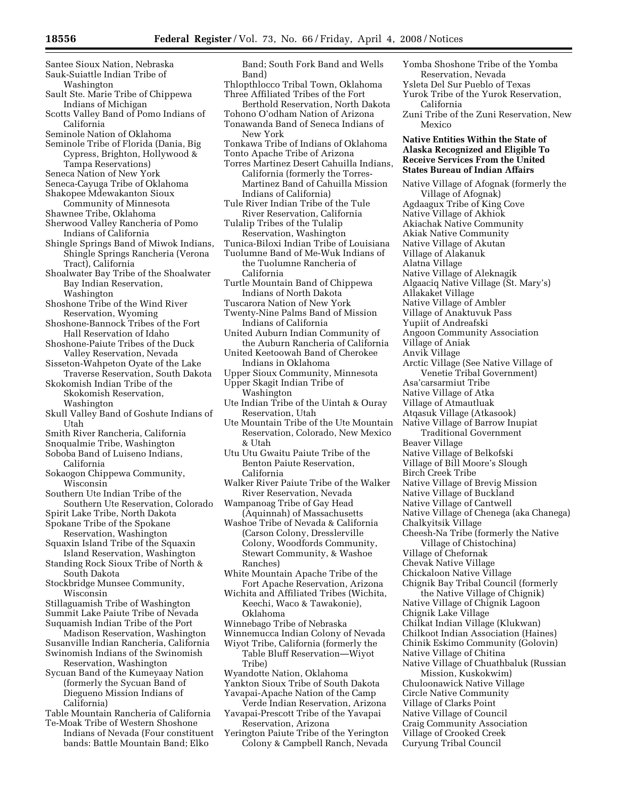- Santee Sioux Nation, Nebraska Sauk-Suiattle Indian Tribe of
- Washington
- Sault Ste. Marie Tribe of Chippewa Indians of Michigan
- Scotts Valley Band of Pomo Indians of California
- Seminole Nation of Oklahoma
- Seminole Tribe of Florida (Dania, Big Cypress, Brighton, Hollywood & Tampa Reservations)
- Seneca Nation of New York
- Seneca-Cayuga Tribe of Oklahoma
- Shakopee Mdewakanton Sioux Community of Minnesota
- Shawnee Tribe, Oklahoma
- Sherwood Valley Rancheria of Pomo Indians of California
- Shingle Springs Band of Miwok Indians, Shingle Springs Rancheria (Verona Tract), California
- Shoalwater Bay Tribe of the Shoalwater Bay Indian Reservation, Washington
- Shoshone Tribe of the Wind River Reservation, Wyoming
- Shoshone-Bannock Tribes of the Fort Hall Reservation of Idaho
- Shoshone-Paiute Tribes of the Duck Valley Reservation, Nevada
- Sisseton-Wahpeton Oyate of the Lake Traverse Reservation, South Dakota
- Skokomish Indian Tribe of the Skokomish Reservation,
	- Washington
- Skull Valley Band of Goshute Indians of Utah
- Smith River Rancheria, California
- Snoqualmie Tribe, Washington
- Soboba Band of Luiseno Indians, California
- Sokaogon Chippewa Community, Wisconsin
- Southern Ute Indian Tribe of the Southern Ute Reservation, Colorado
- Spirit Lake Tribe, North Dakota Spokane Tribe of the Spokane
- Reservation, Washington
- Squaxin Island Tribe of the Squaxin Island Reservation, Washington
- Standing Rock Sioux Tribe of North & South Dakota
- Stockbridge Munsee Community, Wisconsin
- Stillaguamish Tribe of Washington
- Summit Lake Paiute Tribe of Nevada
- Suquamish Indian Tribe of the Port
- Madison Reservation, Washington Susanville Indian Rancheria, California
- Swinomish Indians of the Swinomish Reservation, Washington
- Sycuan Band of the Kumeyaay Nation (formerly the Sycuan Band of Diegueno Mission Indians of California)
- Table Mountain Rancheria of California Te-Moak Tribe of Western Shoshone
- Indians of Nevada (Four constituent bands: Battle Mountain Band; Elko
- Band; South Fork Band and Wells Band)
- Thlopthlocco Tribal Town, Oklahoma Three Affiliated Tribes of the Fort
- Berthold Reservation, North Dakota
- Tohono O'odham Nation of Arizona Tonawanda Band of Seneca Indians of New York
- Tonkawa Tribe of Indians of Oklahoma
- Tonto Apache Tribe of Arizona
- Torres Martinez Desert Cahuilla Indians, California (formerly the Torres-Martinez Band of Cahuilla Mission Indians of California)
- Tule River Indian Tribe of the Tule River Reservation, California
- Tulalip Tribes of the Tulalip Reservation, Washington
- Tunica-Biloxi Indian Tribe of Louisiana Tuolumne Band of Me-Wuk Indians of the Tuolumne Rancheria of
- California Turtle Mountain Band of Chippewa Indians of North Dakota
- Tuscarora Nation of New York
- Twenty-Nine Palms Band of Mission Indians of California
- United Auburn Indian Community of the Auburn Rancheria of California
- United Keetoowah Band of Cherokee Indians in Oklahoma
- Upper Sioux Community, Minnesota Upper Skagit Indian Tribe of
- Washington
- Ute Indian Tribe of the Uintah & Ouray Reservation, Utah
- Ute Mountain Tribe of the Ute Mountain Reservation, Colorado, New Mexico & Utah
- Utu Utu Gwaitu Paiute Tribe of the Benton Paiute Reservation, California
- Walker River Paiute Tribe of the Walker River Reservation, Nevada
- Wampanoag Tribe of Gay Head (Aquinnah) of Massachusetts
- Washoe Tribe of Nevada & California (Carson Colony, Dresslerville Colony, Woodfords Community, Stewart Community, & Washoe Ranches)
- White Mountain Apache Tribe of the Fort Apache Reservation, Arizona
- Wichita and Affiliated Tribes (Wichita, Keechi, Waco & Tawakonie), Oklahoma
- Winnebago Tribe of Nebraska
- Winnemucca Indian Colony of Nevada
- Wiyot Tribe, California (formerly the Table Bluff Reservation—Wiyot Tribe)
- Wyandotte Nation, Oklahoma
- Yankton Sioux Tribe of South Dakota Yavapai-Apache Nation of the Camp
- Verde Indian Reservation, Arizona Yavapai-Prescott Tribe of the Yavapai
- Reservation, Arizona
- Yerington Paiute Tribe of the Yerington Colony & Campbell Ranch, Nevada
- Yomba Shoshone Tribe of the Yomba Reservation, Nevada
- Ysleta Del Sur Pueblo of Texas
- Yurok Tribe of the Yurok Reservation, California
- Zuni Tribe of the Zuni Reservation, New Mexico

### **Native Entities Within the State of Alaska Recognized and Eligible To Receive Services From the United States Bureau of Indian Affairs**

Native Village of Afognak (formerly the Village of Afognak) Agdaagux Tribe of King Cove Native Village of Akhiok Akiachak Native Community Akiak Native Community Native Village of Akutan Village of Alakanuk Alatna Village Native Village of Aleknagik Algaaciq Native Village (St. Mary's) Allakaket Village Native Village of Ambler Village of Anaktuvuk Pass Yupiit of Andreafski Angoon Community Association Village of Aniak Anvik Village Arctic Village (See Native Village of Venetie Tribal Government) Asa'carsarmiut Tribe Native Village of Atka Village of Atmautluak Atqasuk Village (Atkasook) Native Village of Barrow Inupiat Traditional Government Beaver Village Native Village of Belkofski Village of Bill Moore's Slough Birch Creek Tribe Native Village of Brevig Mission Native Village of Buckland Native Village of Cantwell Native Village of Chenega (aka Chanega) Chalkyitsik Village Cheesh-Na Tribe (formerly the Native Village of Chistochina) Village of Chefornak Chevak Native Village Chickaloon Native Village Chignik Bay Tribal Council (formerly the Native Village of Chignik) Native Village of Chignik Lagoon Chignik Lake Village Chilkat Indian Village (Klukwan) Chilkoot Indian Association (Haines) Chinik Eskimo Community (Golovin) Native Village of Chitina Native Village of Chuathbaluk (Russian Mission, Kuskokwim) Chuloonawick Native Village

Circle Native Community Village of Clarks Point Native Village of Council Craig Community Association Village of Crooked Creek Curyung Tribal Council